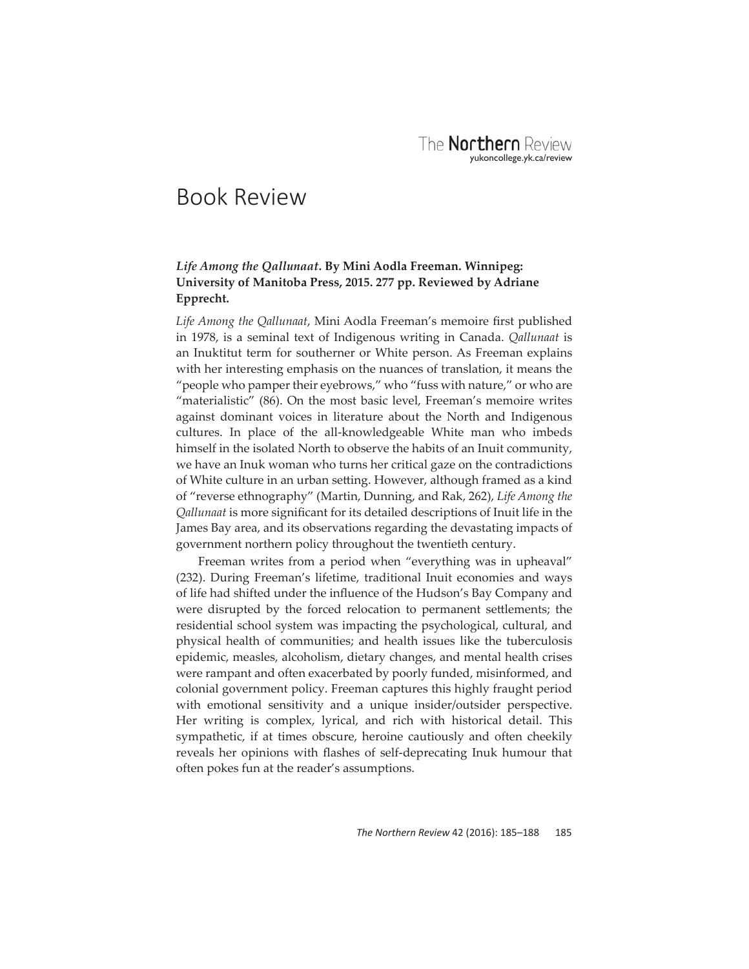## Book Review

## *Life Among the Qallunaat***. By Mini Aodla Freeman. Winnipeg: University of Manitoba Press, 2015. 277 pp. Reviewed by Adriane Epprecht.**

Life Among the Qallunaat, Mini Aodla Freeman's memoire first published in 1978, is a seminal text of Indigenous writing in Canada. *Qallunaat* is an Inuktitut term for southerner or White person. As Freeman explains with her interesting emphasis on the nuances of translation, it means the "people who pamper their eyebrows," who "fuss with nature," or who are "materialistic" (86). On the most basic level, Freeman's memoire writes against dominant voices in literature about the North and Indigenous cultures. In place of the all-knowledgeable White man who imbeds himself in the isolated North to observe the habits of an Inuit community, we have an Inuk woman who turns her critical gaze on the contradictions of White culture in an urban setting. However, although framed as a kind of "reverse ethnography" (Martin, Dunning, and Rak, 262), *Life Among the Qallunaat* is more significant for its detailed descriptions of Inuit life in the James Bay area, and its observations regarding the devastating impacts of government northern policy throughout the twentieth century.

Freeman writes from a period when "everything was in upheaval" (232). During Freeman's lifetime, traditional Inuit economies and ways of life had shifted under the influence of the Hudson's Bay Company and were disrupted by the forced relocation to permanent settlements; the residential school system was impacting the psychological, cultural, and physical health of communities; and health issues like the tuberculosis epidemic, measles, alcoholism, dietary changes, and mental health crises were rampant and often exacerbated by poorly funded, misinformed, and colonial government policy. Freeman captures this highly fraught period with emotional sensitivity and a unique insider/outsider perspective. Her writing is complex, lyrical, and rich with historical detail. This sympathetic, if at times obscure, heroine cautiously and often cheekily reveals her opinions with flashes of self-deprecating Inuk humour that often pokes fun at the reader's assumptions.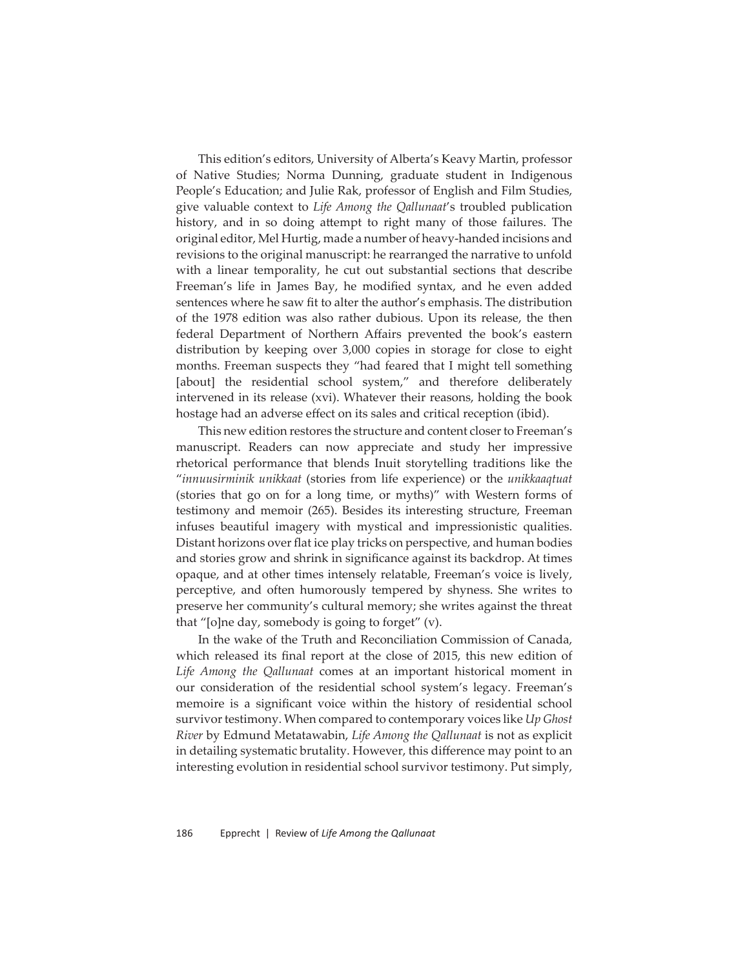This edition's editors, University of Alberta's Keavy Martin, professor of Native Studies; Norma Dunning, graduate student in Indigenous People's Education; and Julie Rak, professor of English and Film Studies, give valuable context to *Life Among the Qallunaat*'s troubled publication history, and in so doing attempt to right many of those failures. The original editor, Mel Hurtig, made a number of heavy-handed incisions and revisions to the original manuscript: he rearranged the narrative to unfold with a linear temporality, he cut out substantial sections that describe Freeman's life in James Bay, he modified syntax, and he even added sentences where he saw fit to alter the author's emphasis. The distribution of the 1978 edition was also rather dubious. Upon its release, the then federal Department of Northern Affairs prevented the book's eastern distribution by keeping over 3,000 copies in storage for close to eight months. Freeman suspects they "had feared that I might tell something [about] the residential school system," and therefore deliberately intervened in its release (xvi). Whatever their reasons, holding the book hostage had an adverse effect on its sales and critical reception (ibid).

This new edition restores the structure and content closer to Freeman's manuscript. Readers can now appreciate and study her impressive rhetorical performance that blends Inuit storytelling traditions like the "*innuusirminik unikkaat* (stories from life experience) or the *unikkaaqtuat*  (stories that go on for a long time, or myths)" with Western forms of testimony and memoir (265). Besides its interesting structure, Freeman infuses beautiful imagery with mystical and impressionistic qualities. Distant horizons over flat ice play tricks on perspective, and human bodies and stories grow and shrink in significance against its backdrop. At times opaque, and at other times intensely relatable, Freeman's voice is lively, perceptive, and often humorously tempered by shyness. She writes to preserve her community's cultural memory; she writes against the threat that "[o]ne day, somebody is going to forget" (v).

In the wake of the Truth and Reconciliation Commission of Canada, which released its final report at the close of 2015, this new edition of *Life Among the Qallunaat* comes at an important historical moment in our consideration of the residential school system's legacy. Freeman's memoire is a significant voice within the history of residential school survivor testimony. When compared to contemporary voices like *Up Ghost River* by Edmund Metatawabin, *Life Among the Qallunaat* is not as explicit in detailing systematic brutality. However, this difference may point to an interesting evolution in residential school survivor testimony. Put simply,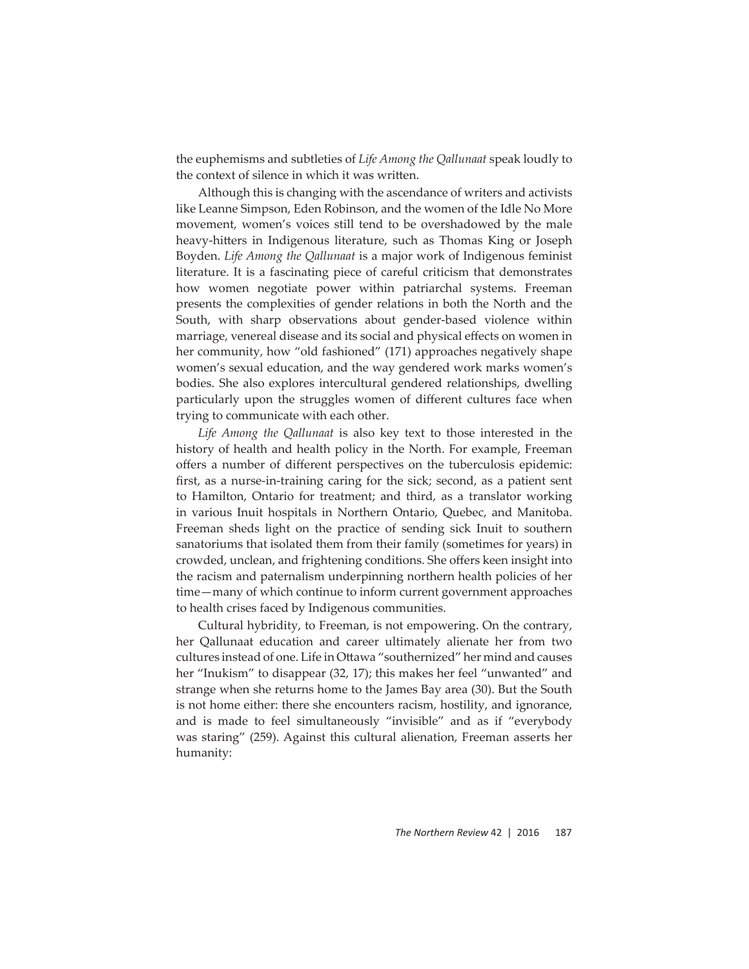the euphemisms and subtleties of *Life Among the Qallunaat* speak loudly to the context of silence in which it was written.

Although this is changing with the ascendance of writers and activists like Leanne Simpson, Eden Robinson, and the women of the Idle No More movement, women's voices still tend to be overshadowed by the male heavy-hitters in Indigenous literature, such as Thomas King or Joseph Boyden. *Life Among the Qallunaat* is a major work of Indigenous feminist literature. It is a fascinating piece of careful criticism that demonstrates how women negotiate power within patriarchal systems. Freeman presents the complexities of gender relations in both the North and the South, with sharp observations about gender-based violence within marriage, venereal disease and its social and physical effects on women in her community, how "old fashioned" (171) approaches negatively shape women's sexual education, and the way gendered work marks women's bodies. She also explores intercultural gendered relationships, dwelling particularly upon the struggles women of different cultures face when trying to communicate with each other.

*Life Among the Qallunaat* is also key text to those interested in the history of health and health policy in the North. For example, Freeman offers a number of different perspectives on the tuberculosis epidemic: first, as a nurse-in-training caring for the sick; second, as a patient sent to Hamilton, Ontario for treatment; and third, as a translator working in various Inuit hospitals in Northern Ontario, Quebec, and Manitoba. Freeman sheds light on the practice of sending sick Inuit to southern sanatoriums that isolated them from their family (sometimes for years) in crowded, unclean, and frightening conditions. She offers keen insight into the racism and paternalism underpinning northern health policies of her time—many of which continue to inform current government approaches to health crises faced by Indigenous communities.

Cultural hybridity, to Freeman, is not empowering. On the contrary, her Qallunaat education and career ultimately alienate her from two cultures instead of one. Life in Ottawa "southernized" her mind and causes her "Inukism" to disappear (32, 17); this makes her feel "unwanted" and strange when she returns home to the James Bay area (30). But the South is not home either: there she encounters racism, hostility, and ignorance, and is made to feel simultaneously "invisible" and as if "everybody was staring" (259). Against this cultural alienation, Freeman asserts her humanity: